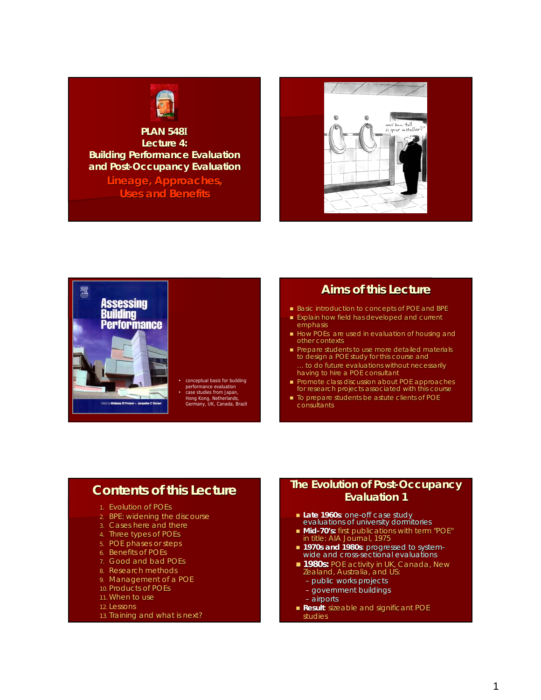

### **PLAN 548I Lecture 4: Lecture Building Performance Evaluation and Post and Post-Occupancy Evaluation**

**Lineage, Approaches, Uses and Benefits** 





conceptual basis for building

- performance evaluation case studies from Japan, Hong Kong, Netherlands, Germany, UK, Canada, Brazil
	-

## **Aims of this Lecture**

- Basic introduction to concepts of POE and BPE
- Explain how field has developed and current Explain how field has developed and current emphasis
- $\blacksquare$  How POEs are used in evaluation of housing and other contexts
- Prepare students to use more detailed materials to design a POE study for this course and to do future evaluations without necessarily having to hire a POE consultant
- **Promote class discussion about POE approaches** for research projects associated with this course
- $\blacksquare$  To prepare students be astute clients of POE consultants

## **Contents of this Lecture Contents of this Lecture**

- 1. Evolution of POEs
- 2. BPE: widening the discourse
- 3. Cases here and there
- 4. Three types of POEs
- 5. POE phases or steps
- 6. Benefits of POEs
- 7. Good and bad POEs
- 8. Research methods
- 9. Management of a POE
- 10. Products of POEs
- 11. When to use
- 12. Lessons
- 13. Training and what is next?

### **The Evolution of Post-Occupancy Evaluation 1**

- **Late 1960s**: one-off case study evaluations of university dormitories
- **Mid-70's:** first publications with term "POE" in title: *AIA Journal*, 1975
- **1970s and 1980s**: progressed to system- wide and cross-sectional evaluations
- **1980s: POE activity in UK, Canada, New** Zealand, Australia, and US:
	- public works projects
	- government buildings
	- airports
- **Result**: sizeable and significant POE studies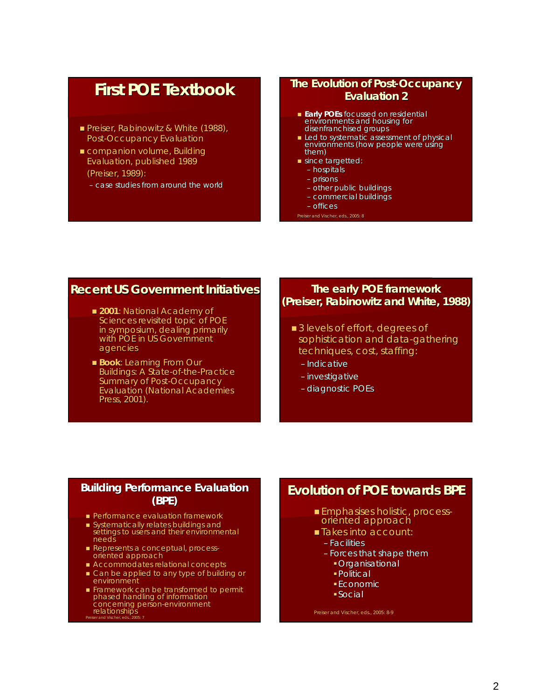## **First POE Textbook First POE Textbook**

- **Preiser, Rabinowitz & White (1988),** *Post-Occupancy Evaluation*
- companion volume, *Building Evaluation, Evaluation,*published 1989 (Preiser, 1989): (Preiser, 1989):
	- case studies from around the world

### **The Evolution of Post-Occupancy Evaluation 2**

- **Early POEs** focussed on residential environments and housing for disenfranchised groups
- Led to systematic assessment of physical environments (how people were using them)
- $\blacksquare$  since targetted:
	- hospitals
	- prisons
	- other public buildings
	- commercial buildings
	- offices

Preiser and Vischer, eds., 2005: 8

## **Recent US Government Initiatives Recent US Government Initiatives**

- **2001**: National Academy of Sciences revisited topic of POE in symposium, dealing primarily with POE in US Government agencies
- **Book: Learning From Our** *Buildings: A State-of-the-Practice Practice Summary of Post-Occupancy Evaluation* (National Academies Press, 2001).

### **The early POE framework (Preiser, Rabinowitz and White, 1988) (Preiser, Rabinowitz and White,**

- 3 levels of effort, degrees of sophistication and data-gathering techniques, cost, staffing:
	- Indicative
	- investigative
	- diagnostic POEs

### **Building Performance Evaluation (BPE)**

- **Performance evaluation framework**
- $\blacksquare$  Systematically relates buildings and settings to users and their environmental needs
- Represents a conceptual, processoriented approach
- Accommodates relational concepts
- Can be applied to any type of building or Can be applied to any type of building or environment
- Framework can be transformed to permit Framework can be transformed to permit phased handling of information concerning person-environment relationships<br>Preiser and Vischer, eds., 2005: 7

## **Evolution of POE towards BPE Evolution of POE towards BPE**

- **Emphasises holistic, process-** oriented approach
- Takes into account: Takes into account:
	- Facilities
	- Forces that shape them
		- **Organisational**
		- Political
		- Economic
		- Social

Preiser and Vischer, eds., 2005: 8-9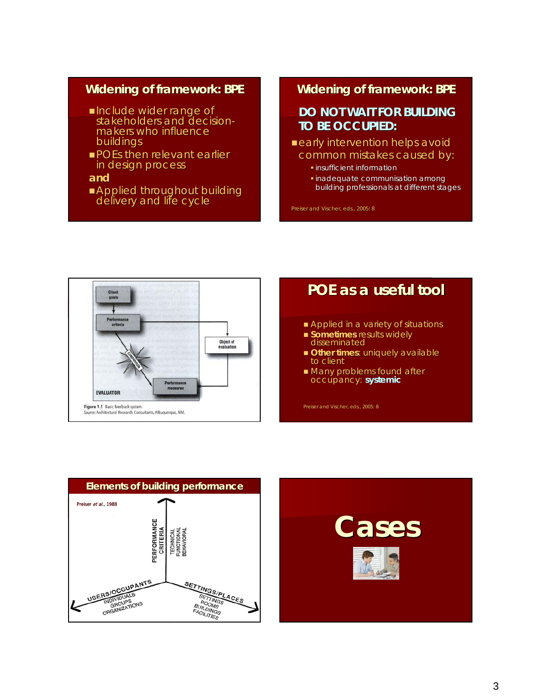## **Widening of framework: BPE**

- Include wider range of<br>Instakeholders and decisionmakers who influence buildings buildings
- **POEs then relevant earlier** in design process
- **and**
- **Applied throughout building** delivery and life cycle

## **Widening of framework: BPE**

## **DO NOT WAIT FOR BUILDING DO NOT WAIT FOR BUILDING TO BE OCCUPIED: TO BE OCCUPIED:**

- $\blacksquare$  early intervention helps avoid common mistakes caused by:
	- **·** insufficient information
	- $\blacksquare$  inadequate communisation among building professionals at different stages

Preiser and Vischer, eds., 2005: 8



# **POE as a useful tool POE as a useful tool**

- Applied in a variety of situations
- **Sometimes** results widely disseminated
- **Other times:** uniquely available to client
- **Many problems found after** occupancy: **systemic**

Preiser and Vischer, eds., 2005: 8



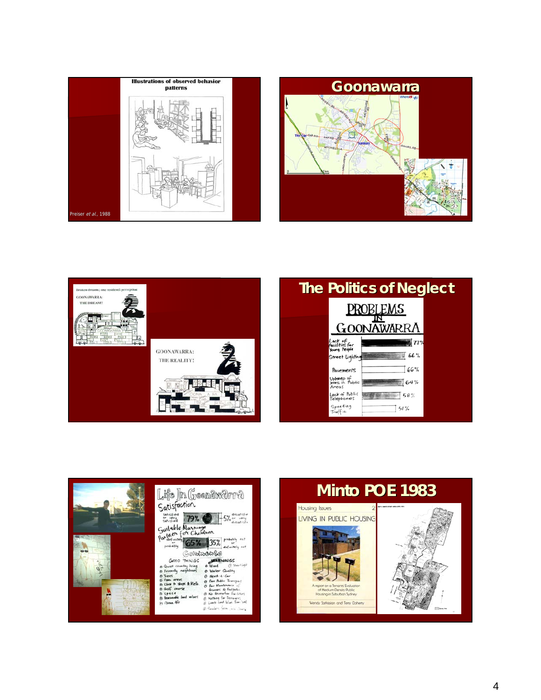









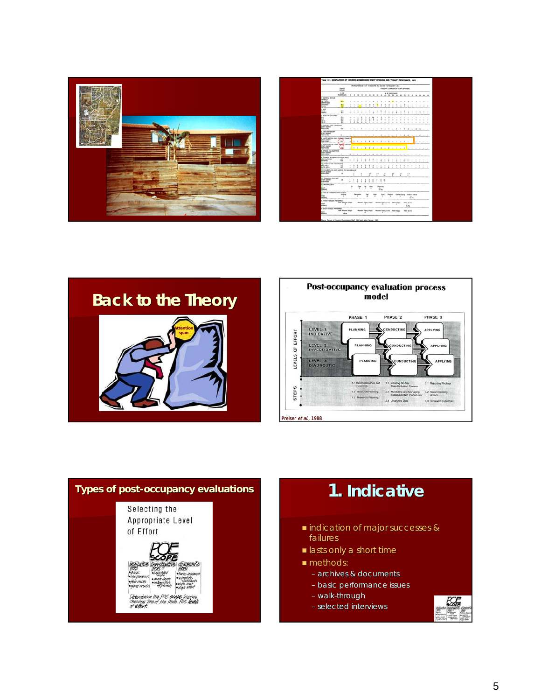

|                                                                                      | PERCENTAGE OF TENANTS IN EACH CATEGORY (%)<br><b>Minimize</b><br>HOUSES COMMITTEE STAY OFFICIAL<br><b>HART</b> |              |                         |                         |                   |                         |                                                 |             |              |                                                   |                            |                                     |                       |                  |                                 |                         |                              |                                             |                      |                                                                                                                                                       |                  |                             |
|--------------------------------------------------------------------------------------|----------------------------------------------------------------------------------------------------------------|--------------|-------------------------|-------------------------|-------------------|-------------------------|-------------------------------------------------|-------------|--------------|---------------------------------------------------|----------------------------|-------------------------------------|-----------------------|------------------|---------------------------------|-------------------------|------------------------------|---------------------------------------------|----------------------|-------------------------------------------------------------------------------------------------------------------------------------------------------|------------------|-----------------------------|
|                                                                                      | 16.140<br><b>AUSTRIAN</b>                                                                                      |              |                         |                         |                   |                         | <b></b>                                         |             |              |                                                   | 5.18 NUMBER                |                                     |                       |                  |                                 |                         |                              |                                             |                      |                                                                                                                                                       |                  |                             |
| <b>LANDING STATE</b>                                                                 | 49.9                                                                                                           |              | $\sim$                  | ٠                       |                   |                         |                                                 | ٠           |              | ٠                                                 | ٠                          | ٠                                   |                       | ٠                | $\sim$                          | ×                       | ٠                            | $\sim$                                      | ×                    | $\sim$                                                                                                                                                | ٠                | <b>COMPANY</b>              |
| <b>RAP</b>                                                                           | ≕                                                                                                              |              |                         | ٠                       | ٠                 |                         |                                                 |             |              |                                                   | ٠                          | ٠                                   | ٠<br>$\sim$           | ٠<br>÷           | $\sim$<br>$\sim$                | ٠<br>÷                  | $\sim$<br>$\sim$<br>-        | $\sim$<br>Text.<br>$\sim$                   | ×<br>$\sim$          | Total Corp.<br>$\sim$                                                                                                                                 | the country<br>w | $\sim$<br>___               |
| 3.303<br><b>BRUE</b><br><b>Right</b>                                                 | m<br>m                                                                                                         | $\sim$       | - 10<br>$\sim$          | ٠<br>×                  | $\sim$            | $\sim$<br>×             | ٠                                               | ٠<br>٠      | ×<br>÷       | $\blacksquare$                                    | ٠<br>٠                     | ٠<br>٠                              | t                     | ٠<br>ŵ           | $\sim$<br>$\sim$                | ٠                       | t                            | ٠<br>٠                                      | ÷<br>٠               | t                                                                                                                                                     | ٠                | ٠                           |
| 3. KGBS OF CHILDREN<br>33                                                            | 76.6<br>$\overline{1}$<br>m<br>ш                                                                               | 2            | $\rightarrow$<br>÷<br>٠ |                         | $\mathbf{u}$<br>٠ |                         |                                                 | ٠<br>٠      | ٠<br>i       | ٠<br>٠<br>÷                                       | $\sim$<br>÷<br>÷<br>$\sim$ | $\ddot{\phantom{1}}$<br>÷<br>÷<br>٠ | $\sim$<br>÷<br>$\sim$ | $\sim$<br>÷<br>× | $\sim$<br>÷<br>$\sim$<br>$\sim$ | ×<br>×a.<br>$\sim$<br>- | $\sim$<br>$\sim$<br>0        | $\sim$<br>$-2.2.2$<br>$\sim$<br>$\sim$      | $\sim$<br>$\sim$<br> | ٠<br>$-11.1$<br>$\cdots$<br>$\frac{1}{2} \left( \frac{1}{2} \right) \left( \frac{1}{2} \right) \left( \frac{1}{2} \right) \left( \frac{1}{2} \right)$ | $\sim$           | ÷<br>$\sim$                 |
| A FAILURE FORST LANGUAGE<br><b>Dar and-</b><br>Worchstein                            | <b>ITN</b>                                                                                                     | $\sim$       |                         |                         |                   |                         | and the sense of the first first first terms of |             |              |                                                   |                            |                                     |                       |                  |                                 |                         |                              |                                             |                      |                                                                                                                                                       |                  | --                          |
| L LNS CAMEROUSP<br><b>EWI ARMS</b><br><b>NIFORES</b>                                 | $\blacksquare$                                                                                                 |              | <b>A</b>                | $\sim$                  | $\sim$            | $\alpha$                | $\sim$                                          | $\sim$      | $\sim$       | $\cdot$                                           |                            |                                     |                       |                  |                                 | $\sim$                  | $\mathcal{R}$                | ٠                                           | $\sim$               | ×                                                                                                                                                     | $\sim$           |                             |
| 4. UNITS INCIDENT BATC CARMING TENNISCO<br><b>Start Galery</b><br><b>Arterizades</b> | $\mathbf{u}$                                                                                                   | ×            | ٠                       |                         | $\sim$            | $\lambda$               | -4                                              | - 4         | <b>Allen</b> | ٠                                                 |                            | $\lambda$                           | <b>Color</b>          | $\sim$           | $\sim$                          | ×                       | $\sim$                       | ٠                                           |                      |                                                                                                                                                       |                  | r.                          |
| $\geq$                                                                               |                                                                                                                | <b>Share</b> | $\sim$                  | - 6                     | $\sim$            |                         | $+ 1 + - 1 - 1 - 1 -$                           |             |              |                                                   |                            |                                     |                       |                  |                                 | 16                      |                              | ٠                                           | $\sim$               | 3.14                                                                                                                                                  |                  | ÷<br>14<br>---              |
| E STOK ALIGODIE                                                                      | ٠                                                                                                              | ٠            | $\cdots$                | $\sim$                  | -2                | $\mathbf{r}$            | $\sim$                                          | ٠           | ٠            | $\mathbf{r}$                                      | $\sim$                     | $-1$                                |                       | $\sim$           | Car .                           | $\sim$                  | $\sim$                       | <b>COLL</b>                                 |                      | -                                                                                                                                                     |                  |                             |
| a house's benatichted with useful<br><b>RAY SATEWEED</b>                             | 291<br>m                                                                                                       |              | ÷                       |                         |                   |                         |                                                 | ٠           | $\mathbb{R}$ | ٠                                                 | $\sim$<br>÷                | ٠                                   | $\sim$<br>÷           | ÷                | ٠<br>÷                          | ÷                       |                              | $\sim$<br>÷                                 | $\sim$<br>÷          | ٠<br>z                                                                                                                                                | ٠                | ٠                           |
| S MON GON HEIGHAM                                                                    |                                                                                                                | ٠            | t                       | ٠                       | ٠<br>٠            | ٠                       |                                                 |             |              | ٠                                                 | ÷                          | ٠                                   | Ξ                     |                  |                                 |                         |                              | ٠                                           | ٠<br>$\sim$          | $\alpha$<br>÷                                                                                                                                         | $\sim$<br>$\sim$ | $\sim$<br><b>COLLECTION</b> |
|                                                                                      |                                                                                                                |              | ٠                       |                         |                   |                         | $E +$<br>٠                                      |             | 87<br>Ŧ      |                                                   | ń                          |                                     | p                     |                  | $^{48}$<br>$\blacksquare$       |                         | td.                          |                                             |                      |                                                                                                                                                       |                  |                             |
| S. TOWACUS HIR LINT<br>TAYT SURVEY                                                   | 11                                                                                                             |              | $\,$<br>٠               | ×<br>٠                  | 2                 | t                       | ţ                                               | 1           | t            | t<br>٦                                            |                            |                                     |                       |                  |                                 |                         |                              |                                             |                      |                                                                                                                                                       |                  |                             |
| <b>IL HEATING LIBES</b><br><b>Bar</b><br><b>Binevard</b>                             |                                                                                                                | $\sim$<br>Ŧ  |                         |                         |                   |                         | ÷                                               |             |              | <b>Executive</b><br>$\frac{\partial}{\partial x}$ |                            |                                     |                       |                  |                                 |                         |                              |                                             |                      |                                                                                                                                                       |                  |                             |
| A USE OF COMMON 19/0N SPACE<br><b>Bar</b><br><b>Internet</b><br><b>STATISTICS</b>    | <b>Timing</b><br>$\mathbf{u}$                                                                                  |              |                         | <b>Partnership</b><br>٠ |                   | $\sim$<br>$\frac{1}{2}$ |                                                 | <b>Made</b> |              | <b>Scott</b><br>٦                                 |                            | <b>Button</b>                       |                       |                  |                                 |                         |                              | <b>Genetians</b> Foreview man<br>×<br>44.2% |                      |                                                                                                                                                       |                  |                             |
| <b>6. Priced Houcks Philiphers</b><br><b>CALL</b><br><b>Died</b>                     | <b>BALT Monday (FAA)</b>                                                                                       |              |                         |                         |                   |                         | Mooden, Parking (PALM)                          |             |              | ٠                                                 | Mardel Party Scool         |                                     | <b>Real Print</b>     | ٠                |                                 |                         | <b>Heat Gast</b><br>di pa    |                                             |                      |                                                                                                                                                       |                  |                             |
| a bala macin recreaser<br>m<br><b>County</b>                                         | <b>Sale Wooden (Flurt)</b><br><b>TEST</b>                                                                      |              |                         |                         |                   | ٠                       | <b>Monte Palice Pluts</b>                       |             |              | ٠                                                 | Moster Furry Ever Mad-Huro |                                     | ۰                     |                  |                                 |                         | <b>Medi-Suited</b><br>$\sim$ |                                             |                      |                                                                                                                                                       |                  |                             |

## **Back to the Theory**





# **Types of post Types of post-occupancy evaluations 1. Indicative . Indicative** Selecting the Appropriate Level of Effort to the PDF &

- indication of major successes & indication of major successes & failures
- **In lasts only a short time**
- **methods:** 
	- archives & documents
	- basic performance issues
	- walk-through
	- selected interviews

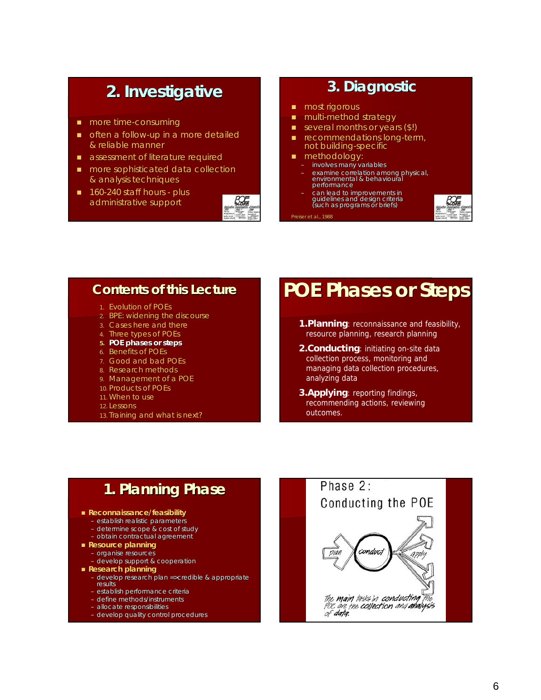## **2. Investigative 2. Investigative**

- **more time-consuming**
- $\Box$  often a follow-up in a more detailed & reliable manner & reliable manner
- **assessment of literature required**
- more sophisticated data collection more sophisticated data collection & analysis techniques & analysis
- $\blacksquare$  160-240 staff hours plus administrative support



## **3. Diagnostic 3. Diagnostic**

- $\blacksquare$  most rigorous
- **multi-method strategy**
- several months or years (\$!)
- recommendations long-term, not building-specific
- methodology: methodology:
	- involves many variables
	- examine correlation among physical, examine correlation among physical, environmental & behavioura vironmental & behavioural performance
	- can lead to improvements in guidelines and design criteria<br>(such as programs or briefs)





## **Contents of this Lecture Contents of this Lecture**

- 1. Evolution of POEs
- 2. BPE: widening the discourse
- 3. Cases here and there
- 4. Three types of POEs
- **5. POE phases or steps**
- 6. Benefits of POEs
- 7. Good and bad POEs
- 8. Research methods
- 9. Management of a POE
- 10. Products of POEs
- 11. When to use
- 12. Lessons
- 13. Training and what is next?

## **POE Phases or Steps POE Phases or Steps**

- **1.Planning**: reconnaissance and feasibility, resource planning, research planning
- **2.Conducting**: initiating on-site data collection process, monitoring and managing data collection procedures, analyzing data
- **3.Applying**: reporting findings, recommending actions, reviewing outcomes.

## **1. Planning Phase 1. Planning Phase**

- **Reconnaissance/feasibility**
	- establish realistic parameters
	- determine scope & cost of study – obtain contractual agreement
- **Resource planning**
	- organise resources
	- develop support & cooperation
- **Research planning**
	- develop research plan =>credible & appropriate results
	- establish performance criteria
	- define methods/instruments
	- allocate responsibilities
	- develop quality control procedures

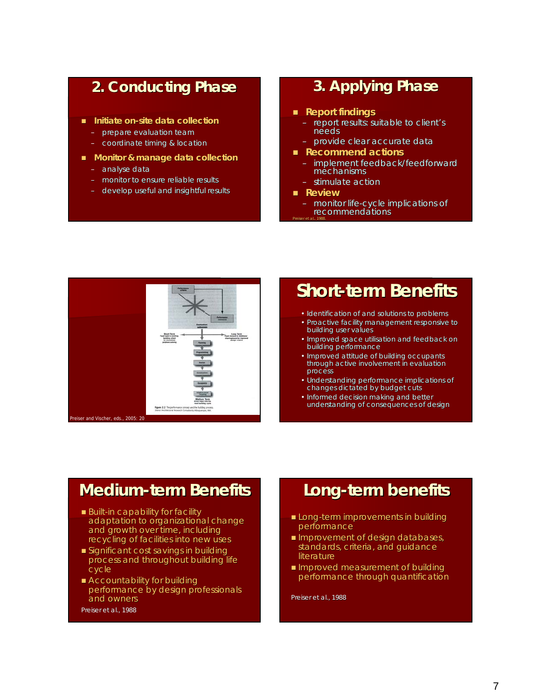## **2. Conducting Phase 2. Conducting Phase**

- **Initiate on-site data collection**
	- prepare evaluation team
	- coordinate timing & location
- **Monitor & manage data collection**
	- analyse data
	- monitor to ensure reliable results
	- develop useful and insightful results

## **3. Applying Phase 3. Applying Phase**

- **Report findings Report findings**
	- report results: suitable to client's needs
	- provide clear accurate data provide clear accurate data
- **Recommend actions Recommend actions**
	- implement feedback/feedforward mechanisms
	- stimulate action
- **Review**
- monitor life-cycle implications of recommendations Preiser *et al.,* 1988.



## **Short-term Benefits term Benefits**

- Identification of and solutions to problems
- Proactive facility management responsive to building user values
- Improved space utilisation and feedback on building performance
- Improved attitude of building occupants through active involvement in evaluation process
- Understanding performance implications of changes dictated by budget cuts
- Informed decision making and better understanding of consequences of design

## **Medium-term Benefits**

- $\blacksquare$  Built-in capability for facility adaptation to organizational change and growth over time, including recycling of facilities into new uses
- $\blacksquare$  Significant cost savings in building process and throughout building life cycle
- $\blacksquare$  Accountability for building performance by design professionals and owners and owners

Preiser et al., 1988

## **Long-term benefits term benefits**

- **Long-term improvements in building** performance
- **Improvement of design databases,** standards, criteria, and guidance literature
- Improved measurement of building performance through quantification

Preiser et al., 1988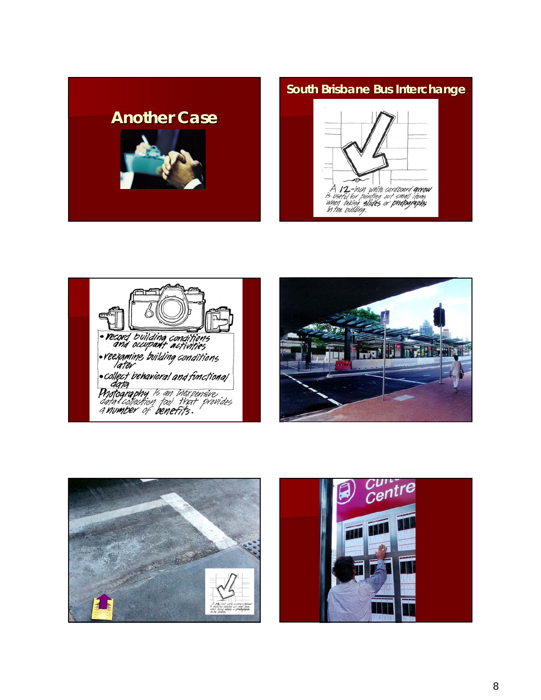

## **South Brisbane Bus Interchange**









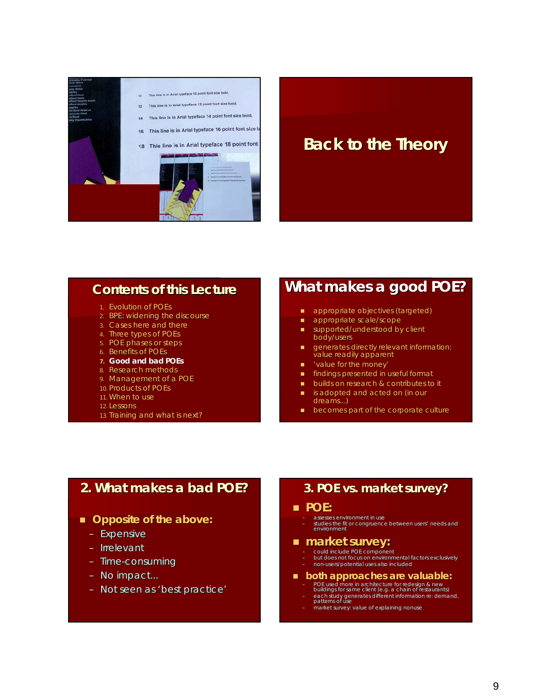

## **Back to the Theory Back to the Theory**

## **Contents of this Lecture Contents of this Lecture**

- 1. Evolution of POEs
- 2. BPE: widening the discourse
- 3. Cases here and there
- 4. Three types of POEs
- 5. POE phases or steps
- 6. Benefits of POEs

#### **7. Good and bad POEs**

- 8. Research methods
- 9. Management of a POE
- 10. Products of POEs
- 11. When to use
- 12. Lessons
- 13. Training and what is next?

## **What makes a good POE? What makes a good POE?**

- **appropriate objectives (targeted)**
- appropriate scale/scope
- $\Box$  supported/understood by client body/users
- **generates directly relevant information:** value readily apparent
- value for the money'
- **findings presented in useful format**
- builds on research & contributes to it
- $\blacksquare$  is adopted and acted on (in our dreams...)
- **becomes part of the corporate culture**

## **2. What makes a bad POE? What makes a bad POE?**

### ■ Opposite of the above:

- *Expensive*
- *Irrelevant*
- *Time-consuming*
- *No impa No impact...*
- *Not seen as 'best practice'*

### **3. POE vs. market survey 3. POE vs. market survey?**

#### **POE:**

- assesses environment in use
- studies the fit or congruence between users' needs and<br>environment

### **market survey: market survey:**

- could include POE component
- but does not focus on environmental factors exclusively
- non-users/potential uses also included

#### **both approaches are valuable: both approaches are valuable:**

- POE used more in architecture for redesign & new<br>buildings for same client (e.g. a chain of restaurants)<br>- each study generates different information re: demand,<br>patterns of use
	-
	- market survey: value of explaining nonuse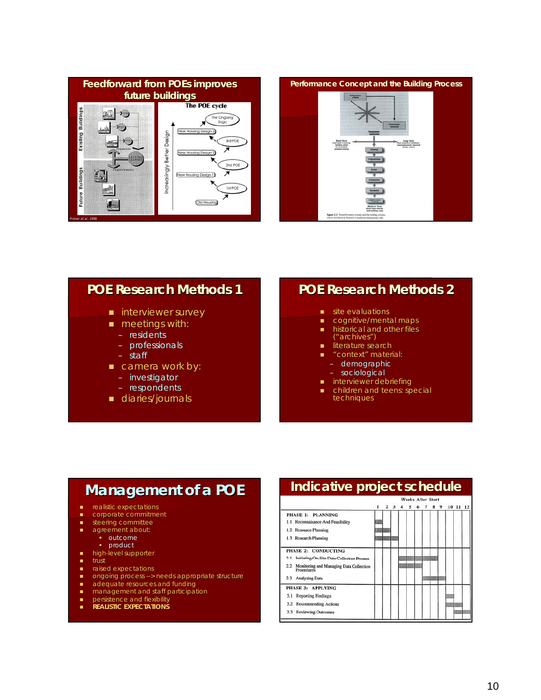



## **POE Research Methods 1 POE Research Methods 1**

- **I** interviewer survey
- **meetings with:** 
	- residents
	- professionals
	- staff
- $\Box$  camera work by:
	- investigator
	- respondents
- **diaries/journals**

## **POE Research Methods 2 POE Research Methods 2**

- site evaluations
- cognitive/mental maps
- $\blacksquare$  historical and other files ("archives")
- literature search
- **n** "context" material:
	- demographic
	- sociological
- **n** interviewer debriefing
- children and teens: special techniques

## **Management of a POE Management of a POE**

- **n** realistic expectations
- corporate commitment
- steering committee
- **agreement about: •** outcome
	- **•** product
- $\blacksquare$  high-level supporter
- $\blacksquare$  trust
- **n** raised expectations
- ongoing process --> needs appropriate structure
- **adequate resources and funding**
- **nanagement and staff participation**
- **persistence and flexibility REALISTIC EXPECTATIONS**

## **Indicative project schedule Indicative project schedule**

| ı | 2 |  | 5 |  | 8 | 9 |                                 | 11 | 12 |
|---|---|--|---|--|---|---|---------------------------------|----|----|
|   |   |  |   |  |   |   |                                 |    |    |
|   |   |  |   |  |   |   |                                 |    |    |
|   |   |  |   |  |   |   |                                 |    |    |
|   |   |  |   |  |   |   |                                 |    |    |
|   |   |  |   |  |   |   |                                 |    |    |
|   |   |  |   |  |   |   |                                 |    |    |
|   |   |  |   |  |   |   |                                 |    |    |
|   |   |  |   |  |   |   |                                 |    |    |
|   |   |  |   |  |   |   |                                 |    |    |
|   |   |  |   |  |   |   |                                 |    |    |
|   |   |  |   |  |   |   |                                 |    |    |
|   |   |  |   |  |   |   |                                 |    |    |
|   |   |  |   |  |   |   | <i><b>Weeks After Start</b></i> |    | 10 |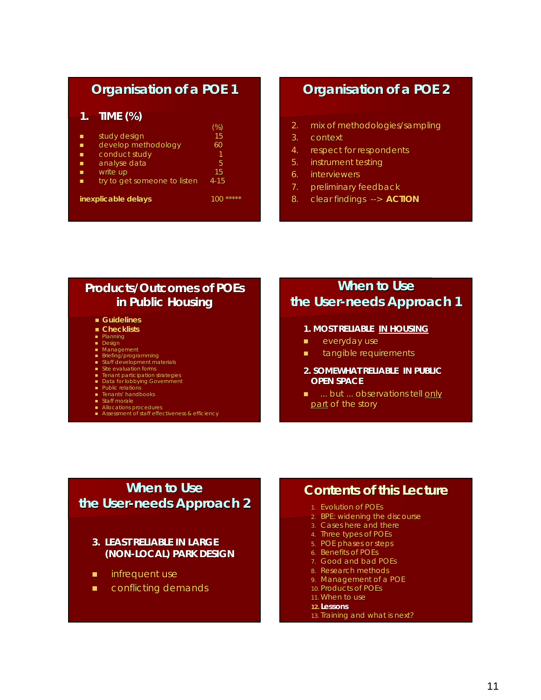## **Organisation of a POE 1 Organisation of a POE 1**

### **1. TIME (%) TIME (%)**

| П | study design                 | 15           |
|---|------------------------------|--------------|
|   | develop methodology          | 60           |
| П | conduct study                | 1            |
| П | analyse data                 | 5            |
|   | write up                     | 15           |
| ▬ | try to get someone to listen | $4 - 15$     |
|   | <i>inexplicable delays</i>   | *****<br>100 |
|   |                              |              |

## **Organisation of a POE 2 Organisation of a POE 2**

- 2. mix of methodologies/sampling
- 3. context
- 4. respect for respondents
- 5. instrument testing
- 6. interviewers
- 7. preliminary feedback
- 8. clear findings  $\rightarrow$  **ACTION**

## **Products/Outcomes of POEs in Public Housing**

- **Guidelines**
- **Checklists**
- **Planning**
- Design **Management**
- 
- Briefing/programming<br>■ Staff development materials<br>■ Site evaluation forms
- 
- **Tenant participation strategies**
- Data for lobbying Government
- **Public relations**
- **F** Tenants' handbooks Staff morale
- **Allocations procedures**
- **Assessment** of staff effectiveness & efficiency

## **When to Use the User-needs Approach 1**

- **1.** *MOST RELIABLE* **IN HOUSING**
- **everyday use**
- **u** tangible requirements
- **2.** *SOMEWHAT RELIABLE* **IN PUBLIC OPEN SPACE**
- $\blacksquare$  ... but ... observations tell only part of the story

## **When to Use the User-needs Approach 2**

### *3. LEAST RELIABLE* **IN LARGE (NON-LOCAL) PARK DESIGN**

- **n** infrequent use
- **E** conflicting demands

## **Contents of this Lecture Contents of this Lecture**

- 1. Evolution of POEs
- 2. BPE: widening the discourse
- 3. Cases here and there
- 4. Three types of POEs
- 5. POE phases or steps
- 6. Benefits of POEs
- 7. Good and bad POEs
- 8. Research methods
- 9. Management of a POE
- 10. Products of POEs
- 11. When to use
- **12. Lessons**
- 13. Training and what is next?